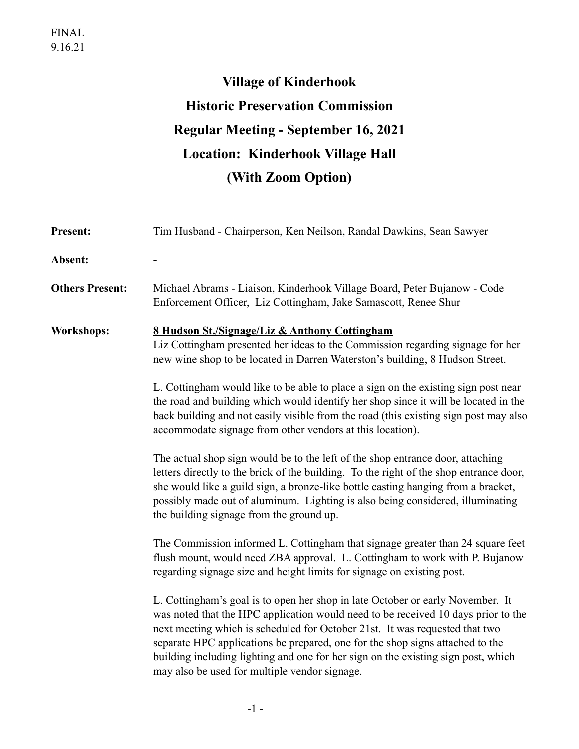## **Village of Kinderhook Historic Preservation Commission Regular Meeting - September 16, 2021 Location: Kinderhook Village Hall (With Zoom Option)**

| Present:               | Tim Husband - Chairperson, Ken Neilson, Randal Dawkins, Sean Sawyer                                                                                                                                                                                                                                                                                                                                                                                                       |
|------------------------|---------------------------------------------------------------------------------------------------------------------------------------------------------------------------------------------------------------------------------------------------------------------------------------------------------------------------------------------------------------------------------------------------------------------------------------------------------------------------|
| Absent:                |                                                                                                                                                                                                                                                                                                                                                                                                                                                                           |
| <b>Others Present:</b> | Michael Abrams - Liaison, Kinderhook Village Board, Peter Bujanow - Code<br>Enforcement Officer, Liz Cottingham, Jake Samascott, Renee Shur                                                                                                                                                                                                                                                                                                                               |
| <b>Workshops:</b>      | <u>8 Hudson St./Signage/Liz &amp; Anthony Cottingham</u><br>Liz Cottingham presented her ideas to the Commission regarding signage for her<br>new wine shop to be located in Darren Waterston's building, 8 Hudson Street.                                                                                                                                                                                                                                                |
|                        | L. Cottingham would like to be able to place a sign on the existing sign post near<br>the road and building which would identify her shop since it will be located in the<br>back building and not easily visible from the road (this existing sign post may also<br>accommodate signage from other vendors at this location).                                                                                                                                            |
|                        | The actual shop sign would be to the left of the shop entrance door, attaching<br>letters directly to the brick of the building. To the right of the shop entrance door,<br>she would like a guild sign, a bronze-like bottle casting hanging from a bracket,<br>possibly made out of aluminum. Lighting is also being considered, illuminating<br>the building signage from the ground up.                                                                               |
|                        | The Commission informed L. Cottingham that signage greater than 24 square feet<br>flush mount, would need ZBA approval. L. Cottingham to work with P. Bujanow<br>regarding signage size and height limits for signage on existing post.                                                                                                                                                                                                                                   |
|                        | L. Cottingham's goal is to open her shop in late October or early November. It<br>was noted that the HPC application would need to be received 10 days prior to the<br>next meeting which is scheduled for October 21st. It was requested that two<br>separate HPC applications be prepared, one for the shop signs attached to the<br>building including lighting and one for her sign on the existing sign post, which<br>may also be used for multiple vendor signage. |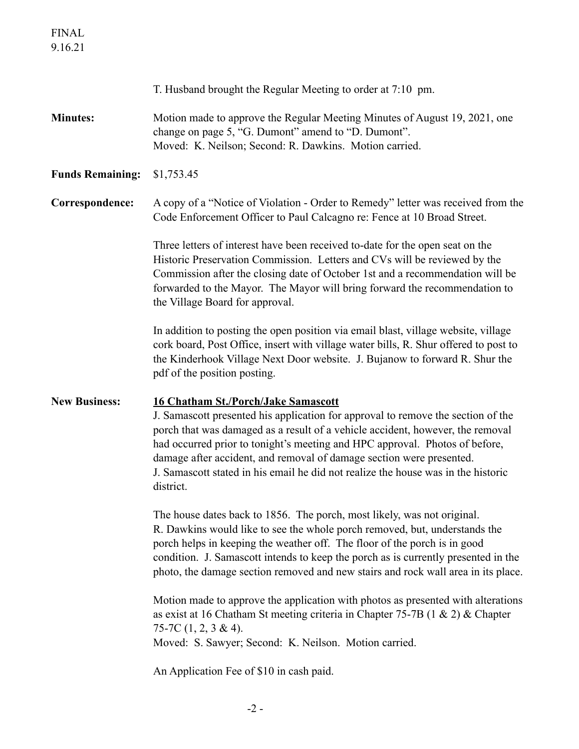|                         | T. Husband brought the Regular Meeting to order at 7:10 pm.                                                                                                                                                                                                                                                                                                                                                                                                               |
|-------------------------|---------------------------------------------------------------------------------------------------------------------------------------------------------------------------------------------------------------------------------------------------------------------------------------------------------------------------------------------------------------------------------------------------------------------------------------------------------------------------|
| <b>Minutes:</b>         | Motion made to approve the Regular Meeting Minutes of August 19, 2021, one<br>change on page 5, "G. Dumont" amend to "D. Dumont".<br>Moved: K. Neilson; Second: R. Dawkins. Motion carried.                                                                                                                                                                                                                                                                               |
| <b>Funds Remaining:</b> | \$1,753.45                                                                                                                                                                                                                                                                                                                                                                                                                                                                |
| Correspondence:         | A copy of a "Notice of Violation - Order to Remedy" letter was received from the<br>Code Enforcement Officer to Paul Calcagno re: Fence at 10 Broad Street.                                                                                                                                                                                                                                                                                                               |
|                         | Three letters of interest have been received to-date for the open seat on the<br>Historic Preservation Commission. Letters and CVs will be reviewed by the<br>Commission after the closing date of October 1st and a recommendation will be<br>forwarded to the Mayor. The Mayor will bring forward the recommendation to<br>the Village Board for approval.                                                                                                              |
|                         | In addition to posting the open position via email blast, village website, village<br>cork board, Post Office, insert with village water bills, R. Shur offered to post to<br>the Kinderhook Village Next Door website. J. Bujanow to forward R. Shur the<br>pdf of the position posting.                                                                                                                                                                                 |
|                         |                                                                                                                                                                                                                                                                                                                                                                                                                                                                           |
| <b>New Business:</b>    | <b>16 Chatham St./Porch/Jake Samascott</b><br>J. Samascott presented his application for approval to remove the section of the<br>porch that was damaged as a result of a vehicle accident, however, the removal<br>had occurred prior to tonight's meeting and HPC approval. Photos of before,<br>damage after accident, and removal of damage section were presented.<br>J. Samascott stated in his email he did not realize the house was in the historic<br>district. |
|                         | The house dates back to 1856. The porch, most likely, was not original.<br>R. Dawkins would like to see the whole porch removed, but, understands the<br>porch helps in keeping the weather off. The floor of the porch is in good<br>condition. J. Samascott intends to keep the porch as is currently presented in the<br>photo, the damage section removed and new stairs and rock wall area in its place.                                                             |
|                         | Motion made to approve the application with photos as presented with alterations<br>as exist at 16 Chatham St meeting criteria in Chapter 75-7B $(1 \& 2) \&$ Chapter<br>75-7C $(1, 2, 3 \& 4)$ .<br>Moved: S. Sawyer; Second: K. Neilson. Motion carried.                                                                                                                                                                                                                |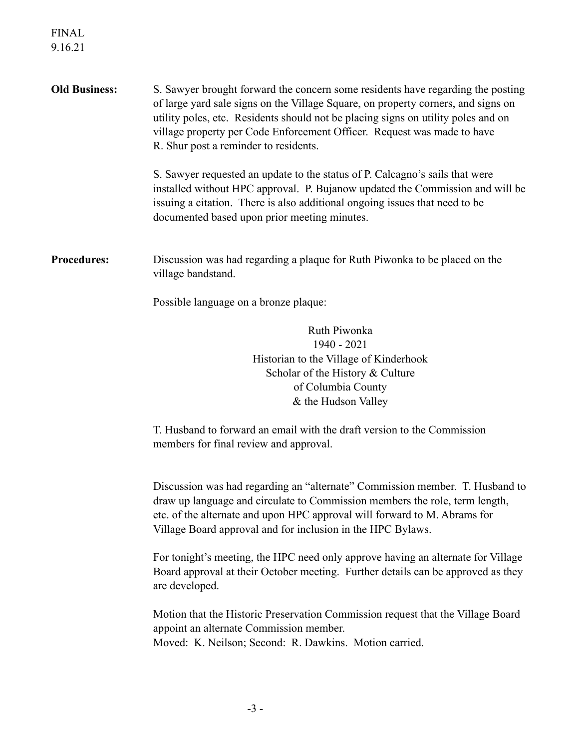| <b>Old Business:</b> | S. Sawyer brought forward the concern some residents have regarding the posting<br>of large yard sale signs on the Village Square, on property corners, and signs on<br>utility poles, etc. Residents should not be placing signs on utility poles and on<br>village property per Code Enforcement Officer. Request was made to have<br>R. Shur post a reminder to residents. |
|----------------------|-------------------------------------------------------------------------------------------------------------------------------------------------------------------------------------------------------------------------------------------------------------------------------------------------------------------------------------------------------------------------------|
|                      | S. Sawyer requested an update to the status of P. Calcagno's sails that were<br>installed without HPC approval. P. Bujanow updated the Commission and will be<br>issuing a citation. There is also additional ongoing issues that need to be<br>documented based upon prior meeting minutes.                                                                                  |
| <b>Procedures:</b>   | Discussion was had regarding a plaque for Ruth Piwonka to be placed on the<br>village bandstand.                                                                                                                                                                                                                                                                              |
|                      | Possible language on a bronze plaque:                                                                                                                                                                                                                                                                                                                                         |
|                      | Ruth Piwonka<br>1940 - 2021<br>Historian to the Village of Kinderhook<br>Scholar of the History & Culture                                                                                                                                                                                                                                                                     |
|                      | of Columbia County<br>& the Hudson Valley                                                                                                                                                                                                                                                                                                                                     |
|                      | T. Husband to forward an email with the draft version to the Commission<br>members for final review and approval.                                                                                                                                                                                                                                                             |
|                      | Discussion was had regarding an "alternate" Commission member. T. Husband to<br>draw up language and circulate to Commission members the role, term length,<br>etc. of the alternate and upon HPC approval will forward to M. Abrams for<br>Village Board approval and for inclusion in the HPC Bylaws.                                                                       |
|                      | For tonight's meeting, the HPC need only approve having an alternate for Village<br>Board approval at their October meeting. Further details can be approved as they<br>are developed.                                                                                                                                                                                        |
|                      | Motion that the Historic Preservation Commission request that the Village Board<br>appoint an alternate Commission member.<br>Moved: K. Neilson; Second: R. Dawkins. Motion carried.                                                                                                                                                                                          |